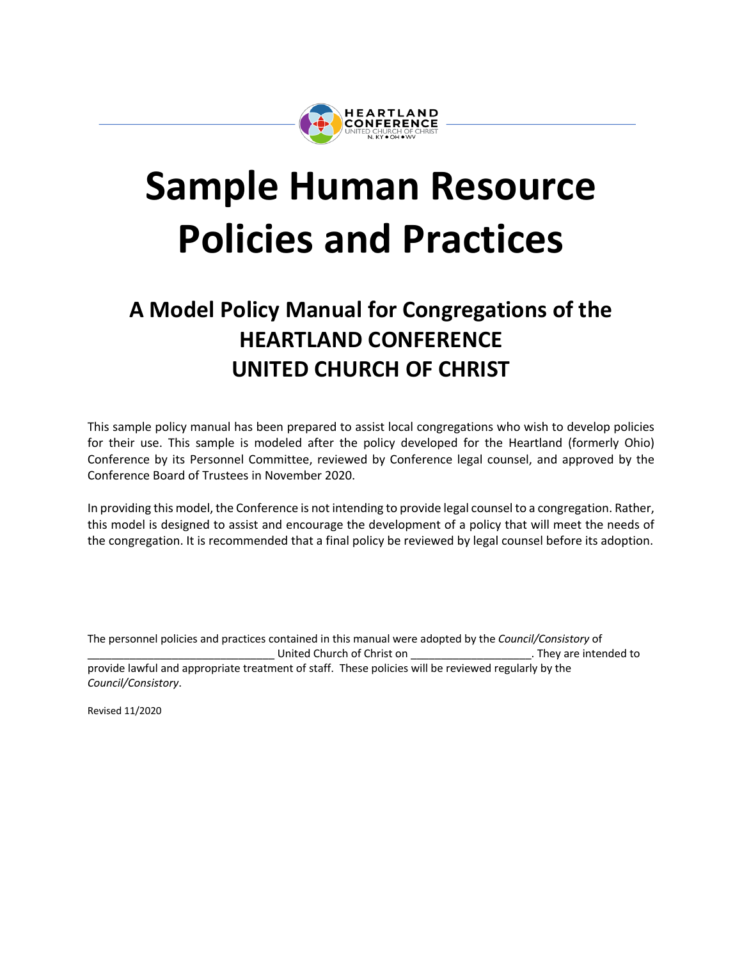

# **Sample Human Resource Policies and Practices**

# **A Model Policy Manual for Congregations of the HEARTLAND CONFERENCE UNITED CHURCH OF CHRIST**

This sample policy manual has been prepared to assist local congregations who wish to develop policies for their use. This sample is modeled after the policy developed for the Heartland (formerly Ohio) Conference by its Personnel Committee, reviewed by Conference legal counsel, and approved by the Conference Board of Trustees in November 2020.

In providing this model, the Conference is not intending to provide legal counsel to a congregation. Rather, this model is designed to assist and encourage the development of a policy that will meet the needs of the congregation. It is recommended that a final policy be reviewed by legal counsel before its adoption.

The personnel policies and practices contained in this manual were adopted by the *Council/Consistory* of \_\_\_\_\_\_\_\_\_\_\_\_\_\_\_\_\_\_\_\_\_\_\_\_\_\_\_\_\_\_\_ United Church of Christ on \_\_\_\_\_\_\_\_\_\_\_\_\_\_\_\_\_\_\_\_. They are intended to provide lawful and appropriate treatment of staff. These policies will be reviewed regularly by the *Council/Consistory*.

Revised 11/2020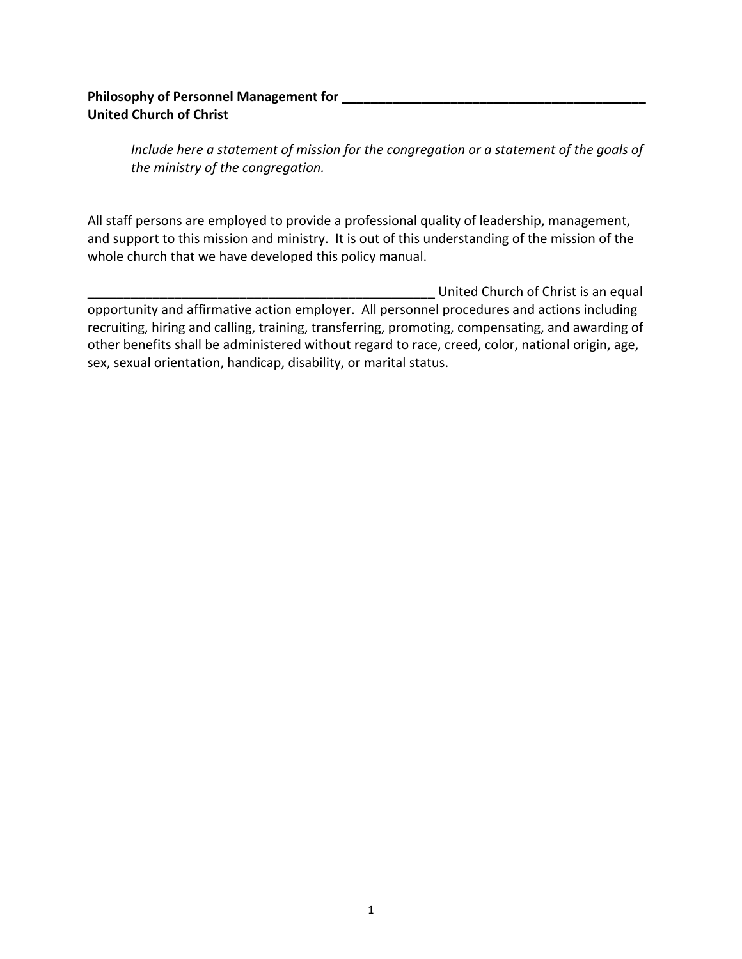# **Philosophy of Personnel Management for \_\_\_\_\_\_\_\_\_\_\_\_\_\_\_\_\_\_\_\_\_\_\_\_\_\_\_\_\_\_\_\_\_\_\_\_\_\_\_\_\_\_ United Church of Christ**

*Include here a statement of mission for the congregation or a statement of the goals of the ministry of the congregation.*

All staff persons are employed to provide a professional quality of leadership, management, and support to this mission and ministry. It is out of this understanding of the mission of the whole church that we have developed this policy manual.

United Church of Christ is an equal opportunity and affirmative action employer. All personnel procedures and actions including recruiting, hiring and calling, training, transferring, promoting, compensating, and awarding of other benefits shall be administered without regard to race, creed, color, national origin, age, sex, sexual orientation, handicap, disability, or marital status.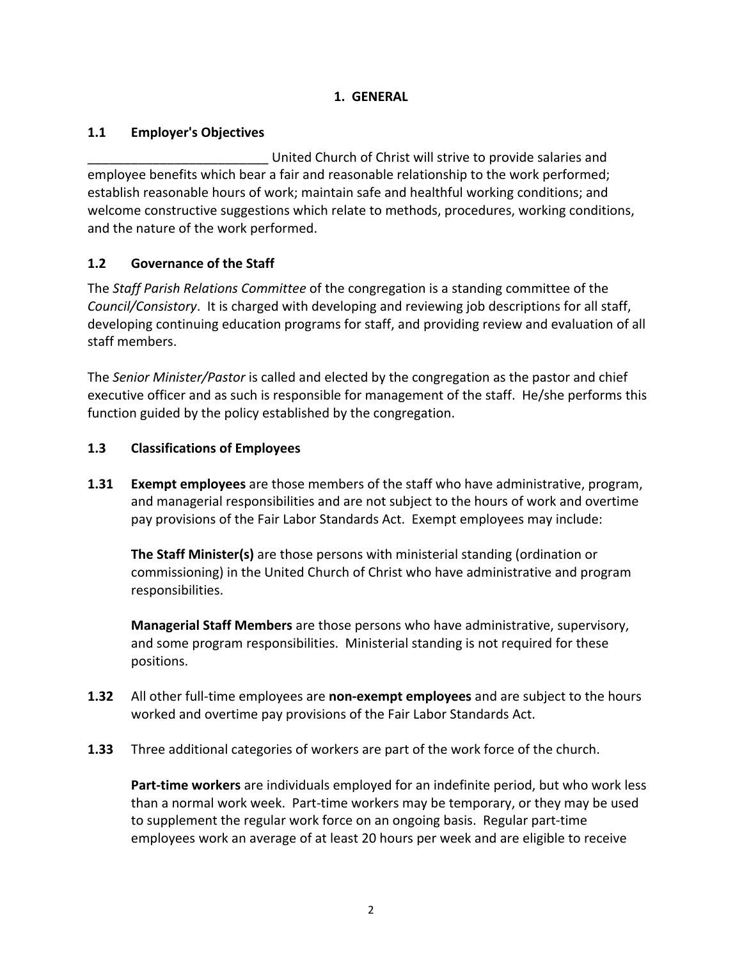# **1. GENERAL**

# **1.1 Employer's Objectives**

United Church of Christ will strive to provide salaries and employee benefits which bear a fair and reasonable relationship to the work performed; establish reasonable hours of work; maintain safe and healthful working conditions; and welcome constructive suggestions which relate to methods, procedures, working conditions, and the nature of the work performed.

# **1.2 Governance of the Staff**

The *Staff Parish Relations Committee* of the congregation is a standing committee of the *Council/Consistory*. It is charged with developing and reviewing job descriptions for all staff, developing continuing education programs for staff, and providing review and evaluation of all staff members.

The *Senior Minister/Pastor* is called and elected by the congregation as the pastor and chief executive officer and as such is responsible for management of the staff. He/she performs this function guided by the policy established by the congregation.

# **1.3 Classifications of Employees**

**1.31 Exempt employees** are those members of the staff who have administrative, program, and managerial responsibilities and are not subject to the hours of work and overtime pay provisions of the Fair Labor Standards Act. Exempt employees may include:

**The Staff Minister(s)** are those persons with ministerial standing (ordination or commissioning) in the United Church of Christ who have administrative and program responsibilities.

**Managerial Staff Members** are those persons who have administrative, supervisory, and some program responsibilities. Ministerial standing is not required for these positions.

- **1.32** All other full-time employees are **non-exempt employees** and are subject to the hours worked and overtime pay provisions of the Fair Labor Standards Act.
- **1.33** Three additional categories of workers are part of the work force of the church.

**Part-time workers** are individuals employed for an indefinite period, but who work less than a normal work week. Part-time workers may be temporary, or they may be used to supplement the regular work force on an ongoing basis. Regular part-time employees work an average of at least 20 hours per week and are eligible to receive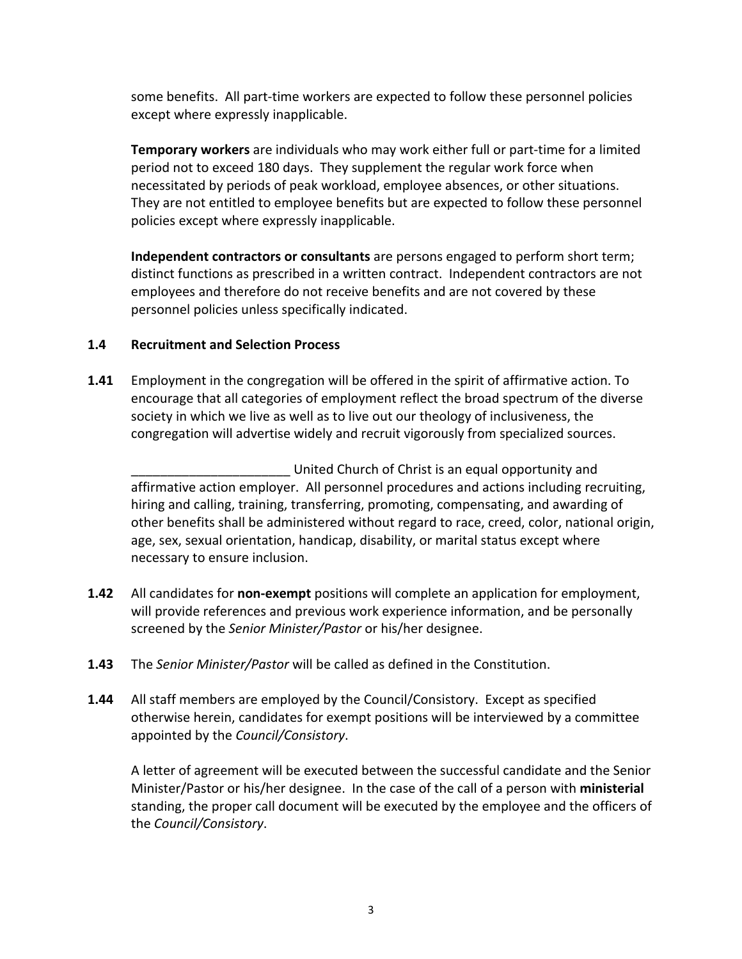some benefits. All part-time workers are expected to follow these personnel policies except where expressly inapplicable.

**Temporary workers** are individuals who may work either full or part-time for a limited period not to exceed 180 days. They supplement the regular work force when necessitated by periods of peak workload, employee absences, or other situations. They are not entitled to employee benefits but are expected to follow these personnel policies except where expressly inapplicable.

**Independent contractors or consultants** are persons engaged to perform short term; distinct functions as prescribed in a written contract. Independent contractors are not employees and therefore do not receive benefits and are not covered by these personnel policies unless specifically indicated.

#### **1.4 Recruitment and Selection Process**

**1.41** Employment in the congregation will be offered in the spirit of affirmative action. To encourage that all categories of employment reflect the broad spectrum of the diverse society in which we live as well as to live out our theology of inclusiveness, the congregation will advertise widely and recruit vigorously from specialized sources.

\_\_\_\_\_\_\_\_\_\_\_\_\_\_\_\_\_\_\_\_\_\_ United Church of Christ is an equal opportunity and affirmative action employer. All personnel procedures and actions including recruiting, hiring and calling, training, transferring, promoting, compensating, and awarding of other benefits shall be administered without regard to race, creed, color, national origin, age, sex, sexual orientation, handicap, disability, or marital status except where necessary to ensure inclusion.

- **1.42** All candidates for **non-exempt** positions will complete an application for employment, will provide references and previous work experience information, and be personally screened by the *Senior Minister/Pastor* or his/her designee.
- **1.43** The *Senior Minister/Pastor* will be called as defined in the Constitution.
- **1.44** All staff members are employed by the Council/Consistory. Except as specified otherwise herein, candidates for exempt positions will be interviewed by a committee appointed by the *Council/Consistory*.

A letter of agreement will be executed between the successful candidate and the Senior Minister/Pastor or his/her designee. In the case of the call of a person with **ministerial** standing, the proper call document will be executed by the employee and the officers of the *Council/Consistory*.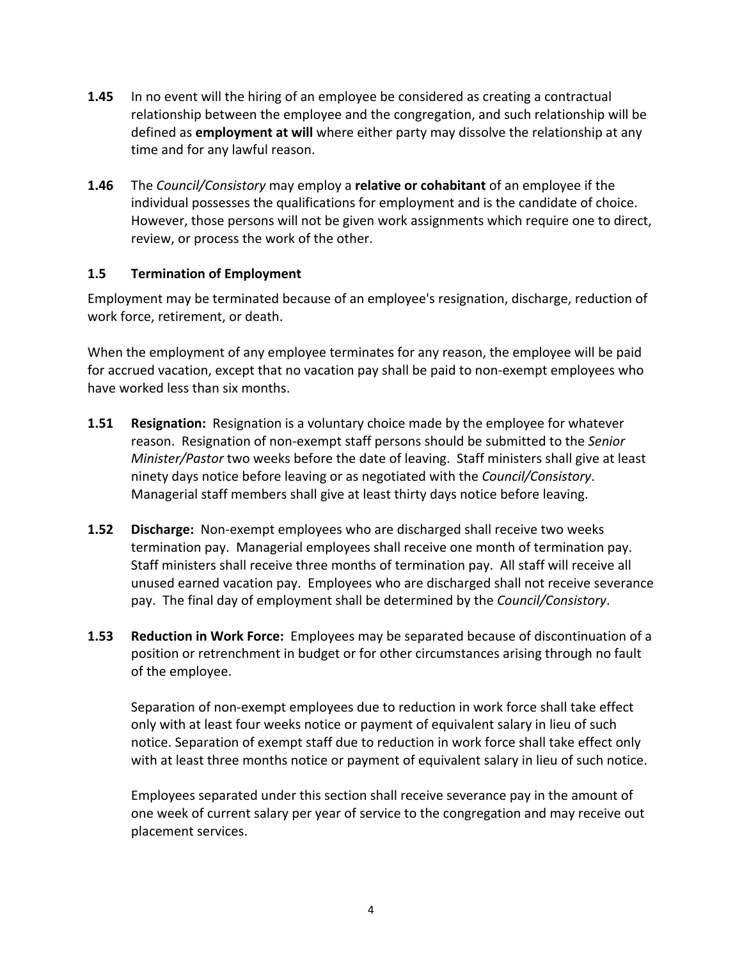- **1.45** In no event will the hiring of an employee be considered as creating a contractual relationship between the employee and the congregation, and such relationship will be defined as **employment at will** where either party may dissolve the relationship at any time and for any lawful reason.
- **1.46** The *Council/Consistory* may employ a **relative or cohabitant** of an employee if the individual possesses the qualifications for employment and is the candidate of choice. However, those persons will not be given work assignments which require one to direct, review, or process the work of the other.

#### **1.5 Termination of Employment**

Employment may be terminated because of an employee's resignation, discharge, reduction of work force, retirement, or death.

When the employment of any employee terminates for any reason, the employee will be paid for accrued vacation, except that no vacation pay shall be paid to non-exempt employees who have worked less than six months.

- **1.51 Resignation:** Resignation is a voluntary choice made by the employee for whatever reason. Resignation of non-exempt staff persons should be submitted to the *Senior Minister/Pastor* two weeks before the date of leaving. Staff ministers shall give at least ninety days notice before leaving or as negotiated with the *Council/Consistory*. Managerial staff members shall give at least thirty days notice before leaving.
- **1.52 Discharge:** Non-exempt employees who are discharged shall receive two weeks termination pay. Managerial employees shall receive one month of termination pay. Staff ministers shall receive three months of termination pay. All staff will receive all unused earned vacation pay. Employees who are discharged shall not receive severance pay. The final day of employment shall be determined by the *Council/Consistory*.
- **1.53 Reduction in Work Force:** Employees may be separated because of discontinuation of a position or retrenchment in budget or for other circumstances arising through no fault of the employee.

Separation of non-exempt employees due to reduction in work force shall take effect only with at least four weeks notice or payment of equivalent salary in lieu of such notice. Separation of exempt staff due to reduction in work force shall take effect only with at least three months notice or payment of equivalent salary in lieu of such notice.

Employees separated under this section shall receive severance pay in the amount of one week of current salary per year of service to the congregation and may receive out placement services.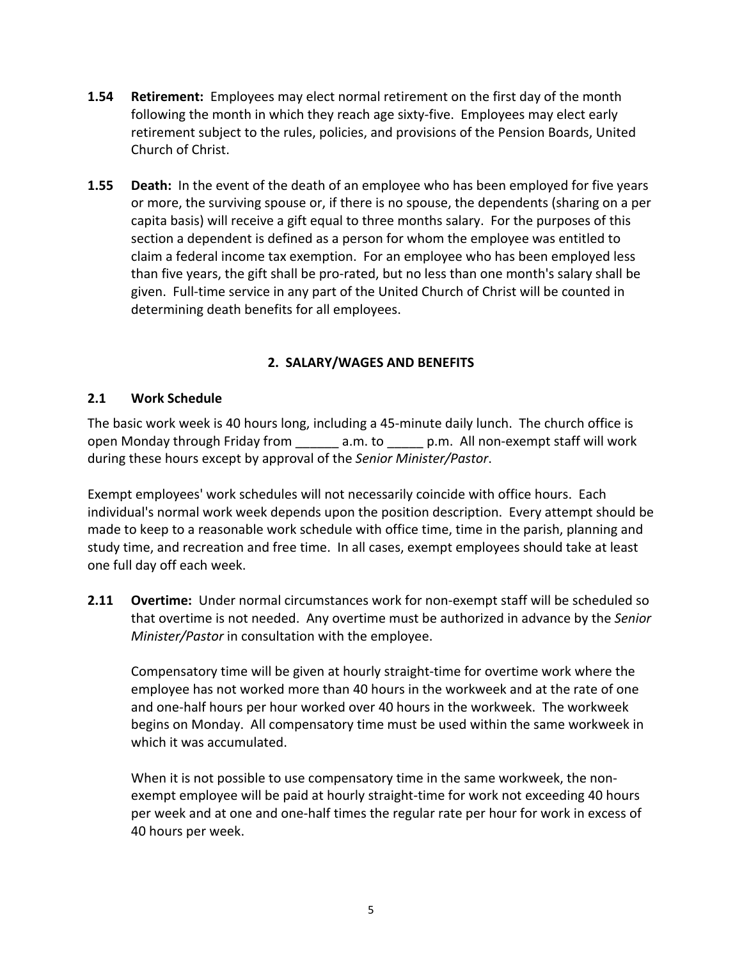- **1.54 Retirement:** Employees may elect normal retirement on the first day of the month following the month in which they reach age sixty-five. Employees may elect early retirement subject to the rules, policies, and provisions of the Pension Boards, United Church of Christ.
- **1.55 Death:** In the event of the death of an employee who has been employed for five years or more, the surviving spouse or, if there is no spouse, the dependents (sharing on a per capita basis) will receive a gift equal to three months salary. For the purposes of this section a dependent is defined as a person for whom the employee was entitled to claim a federal income tax exemption. For an employee who has been employed less than five years, the gift shall be pro-rated, but no less than one month's salary shall be given. Full-time service in any part of the United Church of Christ will be counted in determining death benefits for all employees.

# **2. SALARY/WAGES AND BENEFITS**

## **2.1 Work Schedule**

The basic work week is 40 hours long, including a 45-minute daily lunch. The church office is open Monday through Friday from a.m. to p.m. All non-exempt staff will work during these hours except by approval of the *Senior Minister/Pastor*.

Exempt employees' work schedules will not necessarily coincide with office hours. Each individual's normal work week depends upon the position description. Every attempt should be made to keep to a reasonable work schedule with office time, time in the parish, planning and study time, and recreation and free time. In all cases, exempt employees should take at least one full day off each week.

**2.11 Overtime:** Under normal circumstances work for non-exempt staff will be scheduled so that overtime is not needed. Any overtime must be authorized in advance by the *Senior Minister/Pastor* in consultation with the employee.

Compensatory time will be given at hourly straight-time for overtime work where the employee has not worked more than 40 hours in the workweek and at the rate of one and one-half hours per hour worked over 40 hours in the workweek. The workweek begins on Monday. All compensatory time must be used within the same workweek in which it was accumulated.

When it is not possible to use compensatory time in the same workweek, the nonexempt employee will be paid at hourly straight-time for work not exceeding 40 hours per week and at one and one-half times the regular rate per hour for work in excess of 40 hours per week.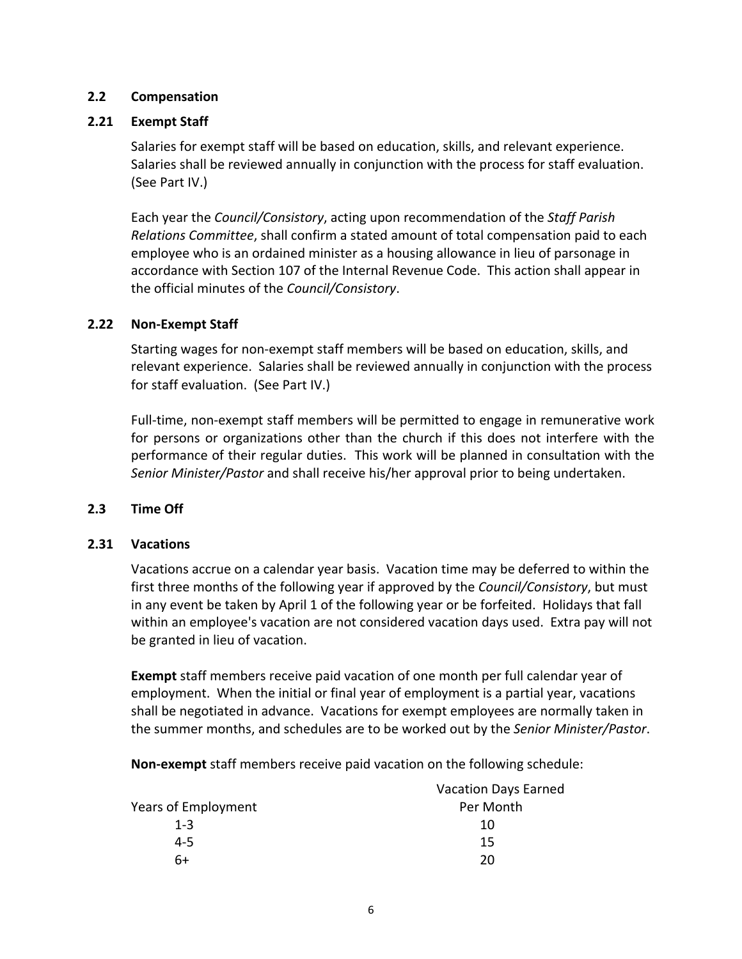#### **2.2 Compensation**

#### **2.21 Exempt Staff**

Salaries for exempt staff will be based on education, skills, and relevant experience. Salaries shall be reviewed annually in conjunction with the process for staff evaluation. (See Part IV.)

Each year the *Council/Consistory*, acting upon recommendation of the *Staff Parish Relations Committee*, shall confirm a stated amount of total compensation paid to each employee who is an ordained minister as a housing allowance in lieu of parsonage in accordance with Section 107 of the Internal Revenue Code. This action shall appear in the official minutes of the *Council/Consistory*.

#### **2.22 Non-Exempt Staff**

Starting wages for non-exempt staff members will be based on education, skills, and relevant experience. Salaries shall be reviewed annually in conjunction with the process for staff evaluation. (See Part IV.)

Full-time, non-exempt staff members will be permitted to engage in remunerative work for persons or organizations other than the church if this does not interfere with the performance of their regular duties. This work will be planned in consultation with the *Senior Minister/Pastor* and shall receive his/her approval prior to being undertaken.

#### **2.3 Time Off**

#### **2.31 Vacations**

Vacations accrue on a calendar year basis. Vacation time may be deferred to within the first three months of the following year if approved by the *Council/Consistory*, but must in any event be taken by April 1 of the following year or be forfeited. Holidays that fall within an employee's vacation are not considered vacation days used. Extra pay will not be granted in lieu of vacation.

**Exempt** staff members receive paid vacation of one month per full calendar year of employment. When the initial or final year of employment is a partial year, vacations shall be negotiated in advance. Vacations for exempt employees are normally taken in the summer months, and schedules are to be worked out by the *Senior Minister/Pastor*.

**Non-exempt** staff members receive paid vacation on the following schedule:

|                     | <b>Vacation Days Earned</b> |
|---------------------|-----------------------------|
| Years of Employment | Per Month                   |
| $1 - 3$             | 10                          |
| $4 - 5$             | 15                          |
| 6+                  | ንበ                          |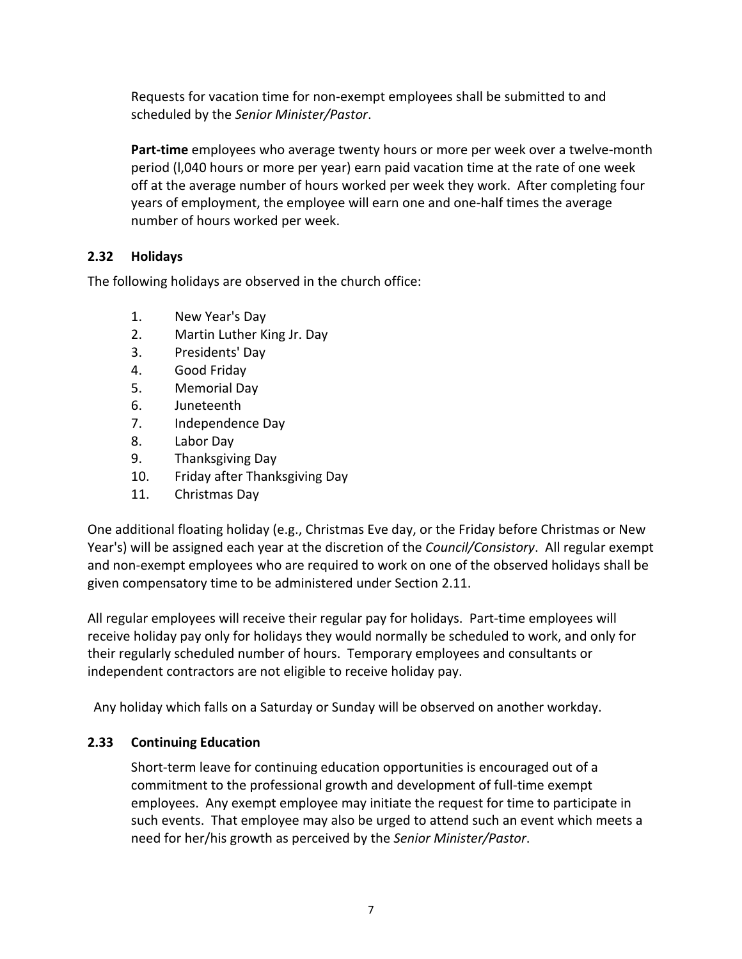Requests for vacation time for non-exempt employees shall be submitted to and scheduled by the *Senior Minister/Pastor*.

**Part-time** employees who average twenty hours or more per week over a twelve-month period (l,040 hours or more per year) earn paid vacation time at the rate of one week off at the average number of hours worked per week they work. After completing four years of employment, the employee will earn one and one-half times the average number of hours worked per week.

## **2.32 Holidays**

The following holidays are observed in the church office:

- 1. New Year's Day
- 2. Martin Luther King Jr. Day
- 3. Presidents' Day
- 4. Good Friday
- 5. Memorial Day
- 6. Juneteenth
- 7. Independence Day
- 8. Labor Day
- 9. Thanksgiving Day
- 10. Friday after Thanksgiving Day
- 11. Christmas Day

One additional floating holiday (e.g., Christmas Eve day, or the Friday before Christmas or New Year's) will be assigned each year at the discretion of the *Council/Consistory*. All regular exempt and non-exempt employees who are required to work on one of the observed holidays shall be given compensatory time to be administered under Section 2.11.

All regular employees will receive their regular pay for holidays. Part-time employees will receive holiday pay only for holidays they would normally be scheduled to work, and only for their regularly scheduled number of hours. Temporary employees and consultants or independent contractors are not eligible to receive holiday pay.

Any holiday which falls on a Saturday or Sunday will be observed on another workday.

#### **2.33 Continuing Education**

Short-term leave for continuing education opportunities is encouraged out of a commitment to the professional growth and development of full-time exempt employees. Any exempt employee may initiate the request for time to participate in such events. That employee may also be urged to attend such an event which meets a need for her/his growth as perceived by the *Senior Minister/Pastor*.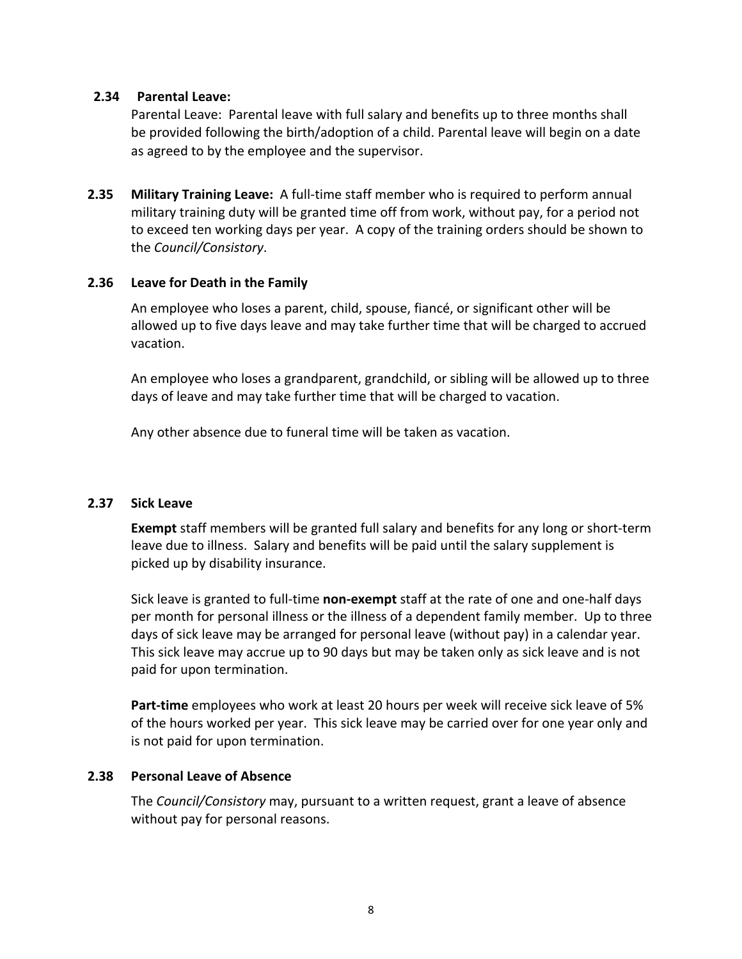#### **2.34 Parental Leave:**

Parental Leave: Parental leave with full salary and benefits up to three months shall be provided following the birth/adoption of a child. Parental leave will begin on a date as agreed to by the employee and the supervisor.

**2.35 Military Training Leave:** A full-time staff member who is required to perform annual military training duty will be granted time off from work, without pay, for a period not to exceed ten working days per year. A copy of the training orders should be shown to the *Council/Consistory*.

#### **2.36 Leave for Death in the Family**

An employee who loses a parent, child, spouse, fiancé, or significant other will be allowed up to five days leave and may take further time that will be charged to accrued vacation.

An employee who loses a grandparent, grandchild, or sibling will be allowed up to three days of leave and may take further time that will be charged to vacation.

Any other absence due to funeral time will be taken as vacation.

#### **2.37 Sick Leave**

**Exempt** staff members will be granted full salary and benefits for any long or short-term leave due to illness. Salary and benefits will be paid until the salary supplement is picked up by disability insurance.

Sick leave is granted to full-time **non-exempt** staff at the rate of one and one-half days per month for personal illness or the illness of a dependent family member. Up to three days of sick leave may be arranged for personal leave (without pay) in a calendar year. This sick leave may accrue up to 90 days but may be taken only as sick leave and is not paid for upon termination.

**Part-time** employees who work at least 20 hours per week will receive sick leave of 5% of the hours worked per year. This sick leave may be carried over for one year only and is not paid for upon termination.

#### **2.38 Personal Leave of Absence**

The *Council/Consistory* may, pursuant to a written request, grant a leave of absence without pay for personal reasons.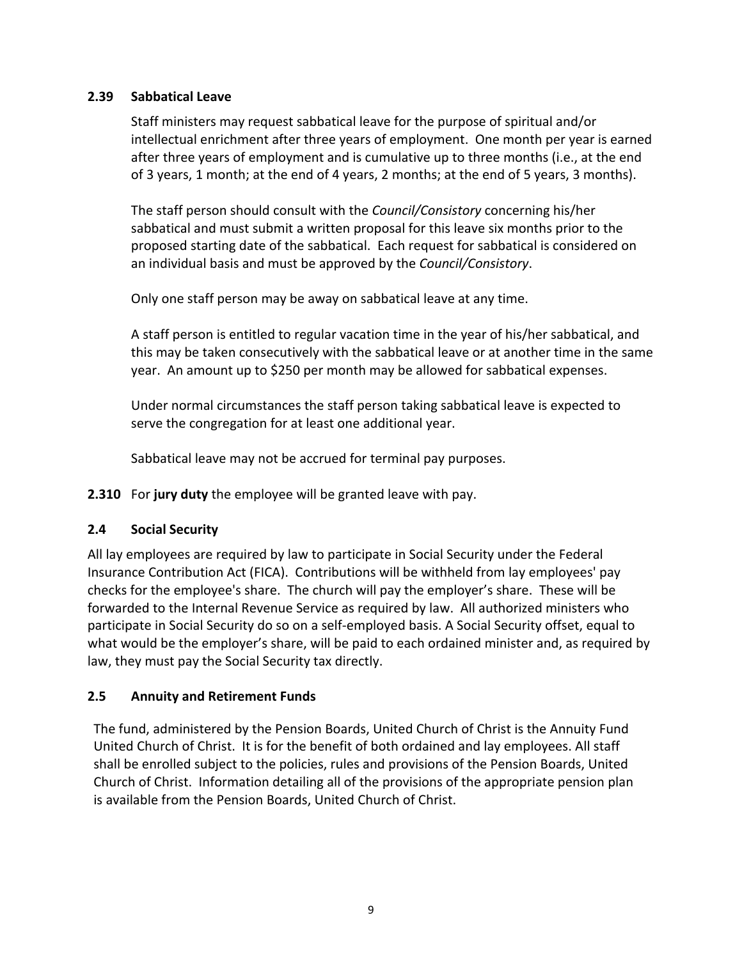# **2.39 Sabbatical Leave**

Staff ministers may request sabbatical leave for the purpose of spiritual and/or intellectual enrichment after three years of employment. One month per year is earned after three years of employment and is cumulative up to three months (i.e., at the end of 3 years, 1 month; at the end of 4 years, 2 months; at the end of 5 years, 3 months).

The staff person should consult with the *Council/Consistory* concerning his/her sabbatical and must submit a written proposal for this leave six months prior to the proposed starting date of the sabbatical. Each request for sabbatical is considered on an individual basis and must be approved by the *Council/Consistory*.

Only one staff person may be away on sabbatical leave at any time.

A staff person is entitled to regular vacation time in the year of his/her sabbatical, and this may be taken consecutively with the sabbatical leave or at another time in the same year. An amount up to \$250 per month may be allowed for sabbatical expenses.

Under normal circumstances the staff person taking sabbatical leave is expected to serve the congregation for at least one additional year.

Sabbatical leave may not be accrued for terminal pay purposes.

**2.310** For **jury duty** the employee will be granted leave with pay.

# **2.4 Social Security**

All lay employees are required by law to participate in Social Security under the Federal Insurance Contribution Act (FICA). Contributions will be withheld from lay employees' pay checks for the employee's share. The church will pay the employer's share. These will be forwarded to the Internal Revenue Service as required by law. All authorized ministers who participate in Social Security do so on a self-employed basis. A Social Security offset, equal to what would be the employer's share, will be paid to each ordained minister and, as required by law, they must pay the Social Security tax directly.

# **2.5 Annuity and Retirement Funds**

The fund, administered by the Pension Boards, United Church of Christ is the Annuity Fund United Church of Christ. It is for the benefit of both ordained and lay employees. All staff shall be enrolled subject to the policies, rules and provisions of the Pension Boards, United Church of Christ. Information detailing all of the provisions of the appropriate pension plan is available from the Pension Boards, United Church of Christ.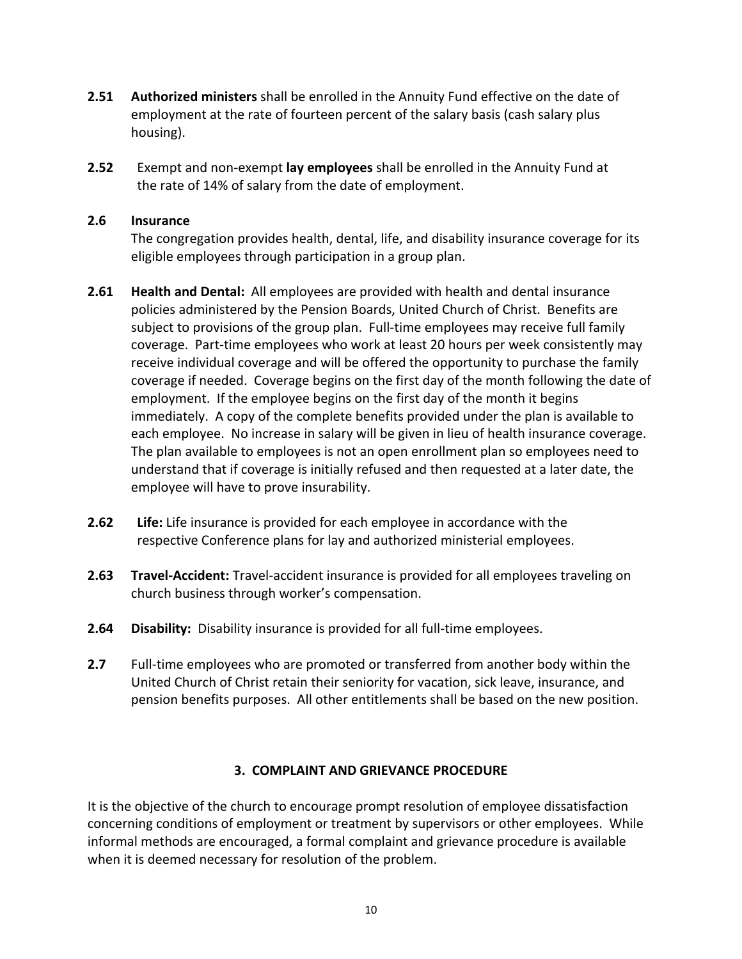- **2.51 Authorized ministers** shall be enrolled in the Annuity Fund effective on the date of employment at the rate of fourteen percent of the salary basis (cash salary plus housing).
- **2.52** Exempt and non-exempt **lay employees** shall be enrolled in the Annuity Fund at the rate of 14% of salary from the date of employment.

#### **2.6 Insurance**

The congregation provides health, dental, life, and disability insurance coverage for its eligible employees through participation in a group plan.

- **2.61 Health and Dental:** All employees are provided with health and dental insurance policies administered by the Pension Boards, United Church of Christ. Benefits are subject to provisions of the group plan. Full-time employees may receive full family coverage. Part-time employees who work at least 20 hours per week consistently may receive individual coverage and will be offered the opportunity to purchase the family coverage if needed. Coverage begins on the first day of the month following the date of employment. If the employee begins on the first day of the month it begins immediately. A copy of the complete benefits provided under the plan is available to each employee. No increase in salary will be given in lieu of health insurance coverage. The plan available to employees is not an open enrollment plan so employees need to understand that if coverage is initially refused and then requested at a later date, the employee will have to prove insurability.
- **2.62 Life:** Life insurance is provided for each employee in accordance with the respective Conference plans for lay and authorized ministerial employees.
- **2.63 Travel-Accident:** Travel-accident insurance is provided for all employees traveling on church business through worker's compensation.
- **2.64 Disability:** Disability insurance is provided for all full-time employees.
- **2.7** Full-time employees who are promoted or transferred from another body within the United Church of Christ retain their seniority for vacation, sick leave, insurance, and pension benefits purposes. All other entitlements shall be based on the new position.

#### **3. COMPLAINT AND GRIEVANCE PROCEDURE**

It is the objective of the church to encourage prompt resolution of employee dissatisfaction concerning conditions of employment or treatment by supervisors or other employees. While informal methods are encouraged, a formal complaint and grievance procedure is available when it is deemed necessary for resolution of the problem.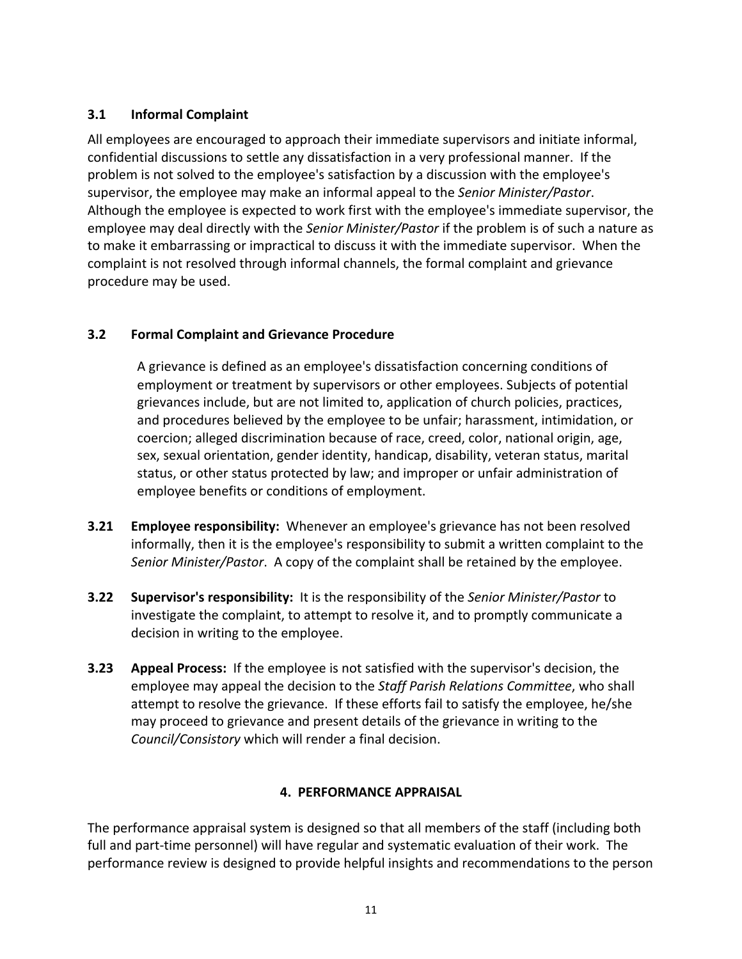# **3.1 Informal Complaint**

All employees are encouraged to approach their immediate supervisors and initiate informal, confidential discussions to settle any dissatisfaction in a very professional manner. If the problem is not solved to the employee's satisfaction by a discussion with the employee's supervisor, the employee may make an informal appeal to the *Senior Minister/Pastor*. Although the employee is expected to work first with the employee's immediate supervisor, the employee may deal directly with the *Senior Minister/Pastor* if the problem is of such a nature as to make it embarrassing or impractical to discuss it with the immediate supervisor. When the complaint is not resolved through informal channels, the formal complaint and grievance procedure may be used.

# **3.2 Formal Complaint and Grievance Procedure**

A grievance is defined as an employee's dissatisfaction concerning conditions of employment or treatment by supervisors or other employees. Subjects of potential grievances include, but are not limited to, application of church policies, practices, and procedures believed by the employee to be unfair; harassment, intimidation, or coercion; alleged discrimination because of race, creed, color, national origin, age, sex, sexual orientation, gender identity, handicap, disability, veteran status, marital status, or other status protected by law; and improper or unfair administration of employee benefits or conditions of employment.

- **3.21 Employee responsibility:** Whenever an employee's grievance has not been resolved informally, then it is the employee's responsibility to submit a written complaint to the *Senior Minister/Pastor*. A copy of the complaint shall be retained by the employee.
- **3.22 Supervisor's responsibility:** It is the responsibility of the *Senior Minister/Pastor* to investigate the complaint, to attempt to resolve it, and to promptly communicate a decision in writing to the employee.
- **3.23 Appeal Process:** If the employee is not satisfied with the supervisor's decision, the employee may appeal the decision to the *Staff Parish Relations Committee*, who shall attempt to resolve the grievance. If these efforts fail to satisfy the employee, he/she may proceed to grievance and present details of the grievance in writing to the *Council/Consistory* which will render a final decision.

# **4. PERFORMANCE APPRAISAL**

The performance appraisal system is designed so that all members of the staff (including both full and part-time personnel) will have regular and systematic evaluation of their work. The performance review is designed to provide helpful insights and recommendations to the person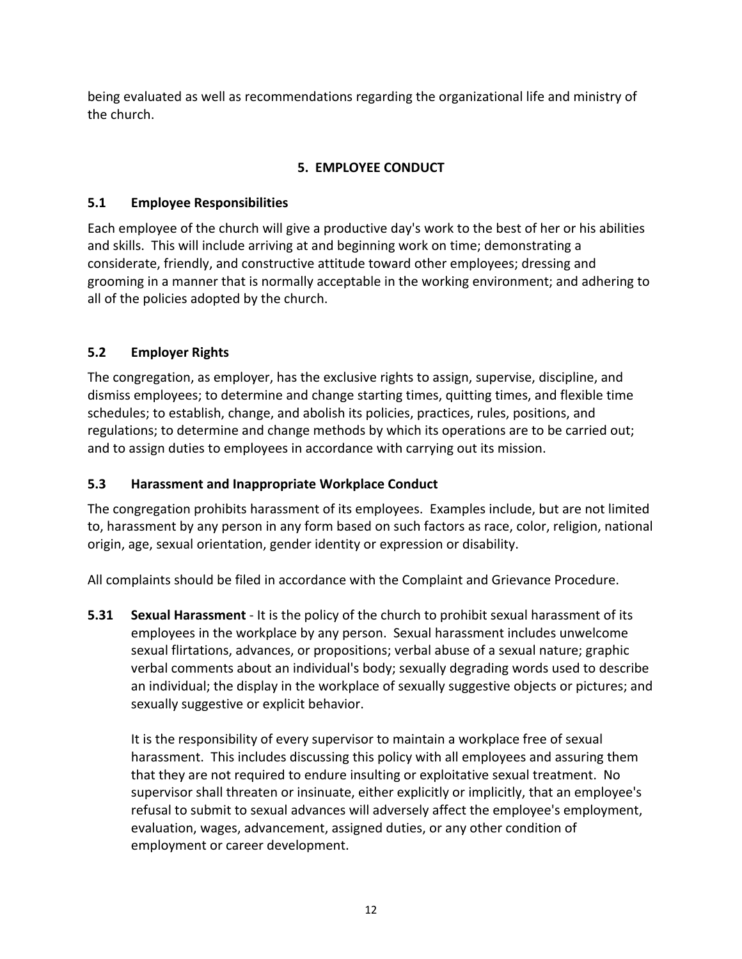being evaluated as well as recommendations regarding the organizational life and ministry of the church.

# **5. EMPLOYEE CONDUCT**

# **5.1 Employee Responsibilities**

Each employee of the church will give a productive day's work to the best of her or his abilities and skills. This will include arriving at and beginning work on time; demonstrating a considerate, friendly, and constructive attitude toward other employees; dressing and grooming in a manner that is normally acceptable in the working environment; and adhering to all of the policies adopted by the church.

# **5.2 Employer Rights**

The congregation, as employer, has the exclusive rights to assign, supervise, discipline, and dismiss employees; to determine and change starting times, quitting times, and flexible time schedules; to establish, change, and abolish its policies, practices, rules, positions, and regulations; to determine and change methods by which its operations are to be carried out; and to assign duties to employees in accordance with carrying out its mission.

# **5.3 Harassment and Inappropriate Workplace Conduct**

The congregation prohibits harassment of its employees. Examples include, but are not limited to, harassment by any person in any form based on such factors as race, color, religion, national origin, age, sexual orientation, gender identity or expression or disability.

All complaints should be filed in accordance with the Complaint and Grievance Procedure.

**5.31 Sexual Harassment** - It is the policy of the church to prohibit sexual harassment of its employees in the workplace by any person. Sexual harassment includes unwelcome sexual flirtations, advances, or propositions; verbal abuse of a sexual nature; graphic verbal comments about an individual's body; sexually degrading words used to describe an individual; the display in the workplace of sexually suggestive objects or pictures; and sexually suggestive or explicit behavior.

It is the responsibility of every supervisor to maintain a workplace free of sexual harassment. This includes discussing this policy with all employees and assuring them that they are not required to endure insulting or exploitative sexual treatment. No supervisor shall threaten or insinuate, either explicitly or implicitly, that an employee's refusal to submit to sexual advances will adversely affect the employee's employment, evaluation, wages, advancement, assigned duties, or any other condition of employment or career development.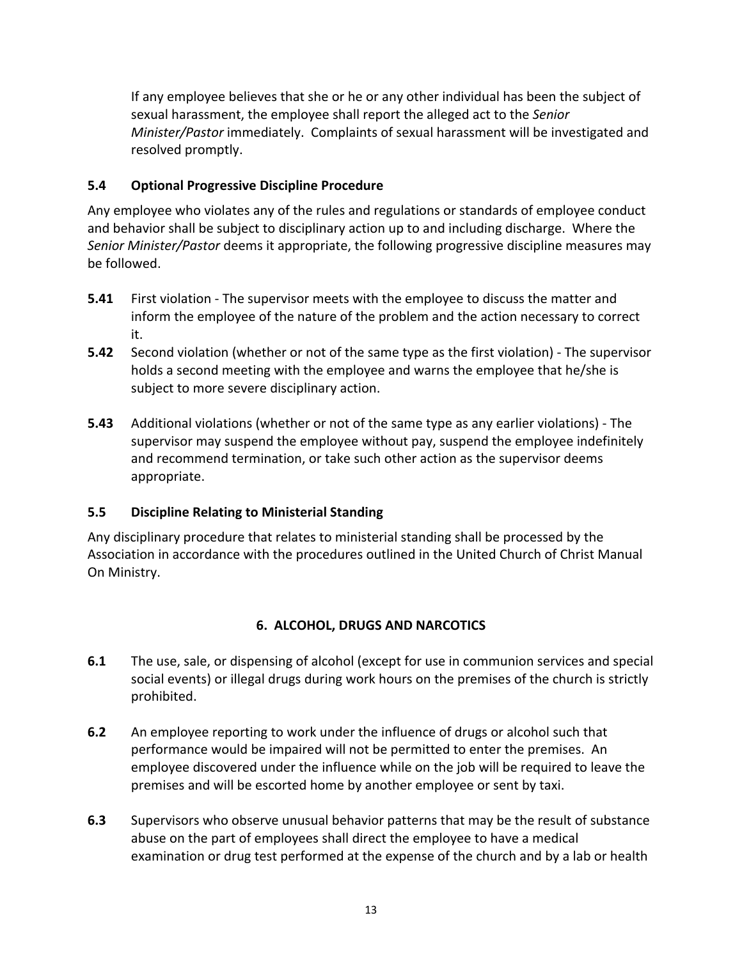If any employee believes that she or he or any other individual has been the subject of sexual harassment, the employee shall report the alleged act to the *Senior Minister/Pastor* immediately. Complaints of sexual harassment will be investigated and resolved promptly.

# **5.4 Optional Progressive Discipline Procedure**

Any employee who violates any of the rules and regulations or standards of employee conduct and behavior shall be subject to disciplinary action up to and including discharge. Where the *Senior Minister/Pastor* deems it appropriate, the following progressive discipline measures may be followed.

- **5.41** First violation The supervisor meets with the employee to discuss the matter and inform the employee of the nature of the problem and the action necessary to correct it.
- **5.42** Second violation (whether or not of the same type as the first violation) The supervisor holds a second meeting with the employee and warns the employee that he/she is subject to more severe disciplinary action.
- **5.43** Additional violations (whether or not of the same type as any earlier violations) The supervisor may suspend the employee without pay, suspend the employee indefinitely and recommend termination, or take such other action as the supervisor deems appropriate.

# **5.5 Discipline Relating to Ministerial Standing**

Any disciplinary procedure that relates to ministerial standing shall be processed by the Association in accordance with the procedures outlined in the United Church of Christ Manual On Ministry.

# **6. ALCOHOL, DRUGS AND NARCOTICS**

- **6.1** The use, sale, or dispensing of alcohol (except for use in communion services and special social events) or illegal drugs during work hours on the premises of the church is strictly prohibited.
- **6.2** An employee reporting to work under the influence of drugs or alcohol such that performance would be impaired will not be permitted to enter the premises. An employee discovered under the influence while on the job will be required to leave the premises and will be escorted home by another employee or sent by taxi.
- **6.3** Supervisors who observe unusual behavior patterns that may be the result of substance abuse on the part of employees shall direct the employee to have a medical examination or drug test performed at the expense of the church and by a lab or health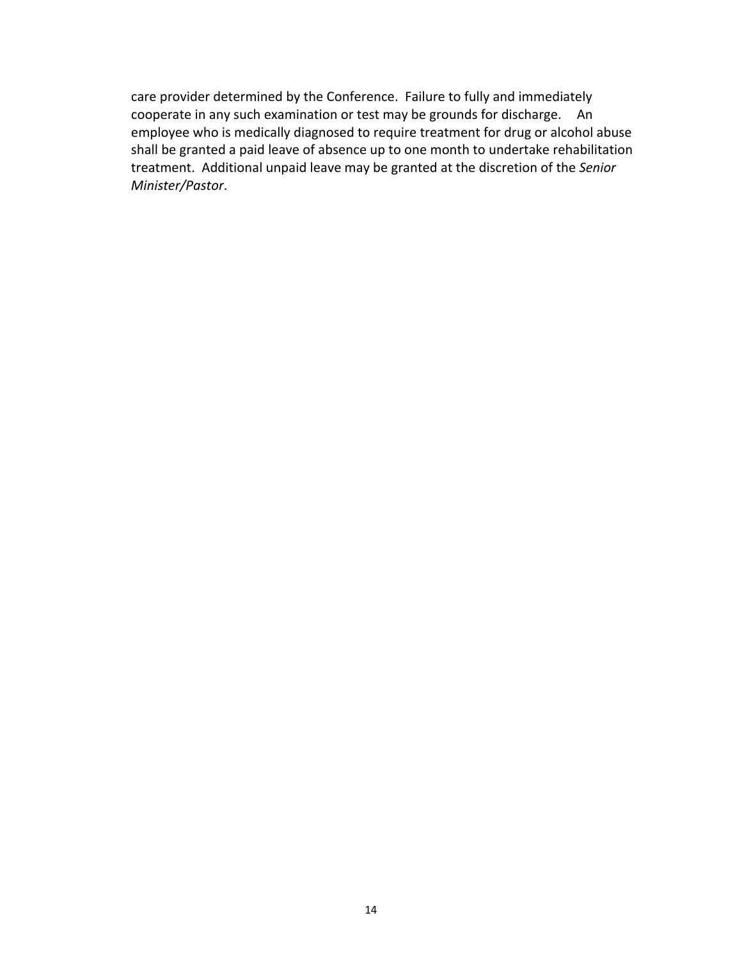care provider determined by the Conference. Failure to fully and immediately cooperate in any such examination or test may be grounds for discharge. An employee who is medically diagnosed to require treatment for drug or alcohol abuse shall be granted a paid leave of absence up to one month to undertake rehabilitation treatment. Additional unpaid leave may be granted at the discretion of the *Senior Minister/Pastor*.